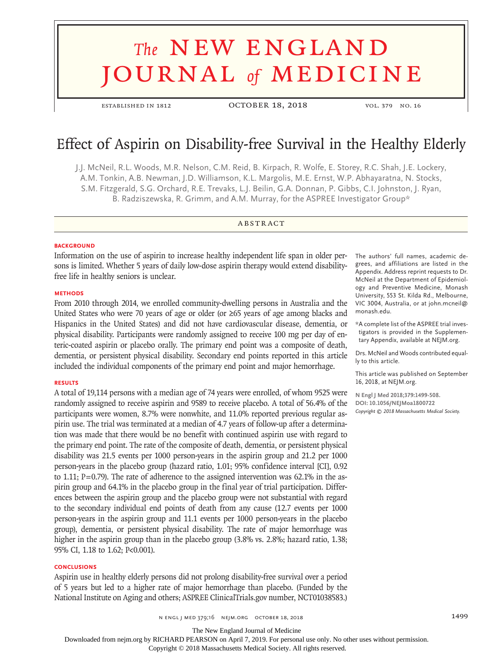# **The NEW ENGLAND** journal *of* medicine

established in 1812 October 18, 2018 vol. 379 no. 16

# Effect of Aspirin on Disability-free Survival in the Healthy Elderly

J.J. McNeil, R.L. Woods, M.R. Nelson, C.M. Reid, B. Kirpach, R. Wolfe, E. Storey, R.C. Shah, J.E. Lockery, A.M. Tonkin, A.B. Newman, J.D. Williamson, K.L. Margolis, M.E. Ernst, W.P. Abhayaratna, N. Stocks, S.M. Fitzgerald, S.G. Orchard, R.E. Trevaks, L.J. Beilin, G.A. Donnan, P. Gibbs, C.I. Johnston, J. Ryan, B. Radziszewska, R. Grimm, and A.M. Murray, for the ASPREE Investigator Group\*

#### **ABSTRACT**

#### **BACKGROUND**

Information on the use of aspirin to increase healthy independent life span in older persons is limited. Whether 5 years of daily low-dose aspirin therapy would extend disabilityfree life in healthy seniors is unclear.

#### **METHODS**

From 2010 through 2014, we enrolled community-dwelling persons in Australia and the United States who were 70 years of age or older (or ≥65 years of age among blacks and Hispanics in the United States) and did not have cardiovascular disease, dementia, or physical disability. Participants were randomly assigned to receive 100 mg per day of enteric-coated aspirin or placebo orally. The primary end point was a composite of death, dementia, or persistent physical disability. Secondary end points reported in this article included the individual components of the primary end point and major hemorrhage.

#### **RESULTS**

A total of 19,114 persons with a median age of 74 years were enrolled, of whom 9525 were randomly assigned to receive aspirin and 9589 to receive placebo. A total of 56.4% of the participants were women, 8.7% were nonwhite, and 11.0% reported previous regular aspirin use. The trial was terminated at a median of 4.7 years of follow-up after a determination was made that there would be no benefit with continued aspirin use with regard to the primary end point. The rate of the composite of death, dementia, or persistent physical disability was 21.5 events per 1000 person-years in the aspirin group and 21.2 per 1000 person-years in the placebo group (hazard ratio, 1.01; 95% confidence interval [CI], 0.92 to 1.11;  $P=0.79$ ). The rate of adherence to the assigned intervention was 62.1% in the aspirin group and 64.1% in the placebo group in the final year of trial participation. Differences between the aspirin group and the placebo group were not substantial with regard to the secondary individual end points of death from any cause (12.7 events per 1000 person-years in the aspirin group and 11.1 events per 1000 person-years in the placebo group), dementia, or persistent physical disability. The rate of major hemorrhage was higher in the aspirin group than in the placebo group  $(3.8\% \text{ vs. } 2.8\%; \text{hazard ratio, } 1.38; \text{)}$ 95% CI, 1.18 to 1.62; P<0.001).

#### **CONCLUSIONS**

Aspirin use in healthy elderly persons did not prolong disability-free survival over a period of 5 years but led to a higher rate of major hemorrhage than placebo. (Funded by the National Institute on Aging and others; ASPREE ClinicalTrials.gov number, NCT01038583.)

The authors' full names, academic degrees, and affiliations are listed in the Appendix. Address reprint requests to Dr. McNeil at the Department of Epidemiology and Preventive Medicine, Monash University, 553 St. Kilda Rd., Melbourne, VIC 3004, Australia, or at john.mcneil@ monash.edu.

\*A complete list of the ASPREE trial investigators is provided in the Supplementary Appendix, available at NEJM.org.

Drs. McNeil and Woods contributed equally to this article.

This article was published on September 16, 2018, at NEJM.org.

**N Engl J Med 2018;379:1499-508. DOI: 10.1056/NEJMoa1800722** *Copyright © 2018 Massachusetts Medical Society.*

The New England Journal of Medicine

Downloaded from nejm.org by RICHARD PEARSON on April 7, 2019. For personal use only. No other uses without permission.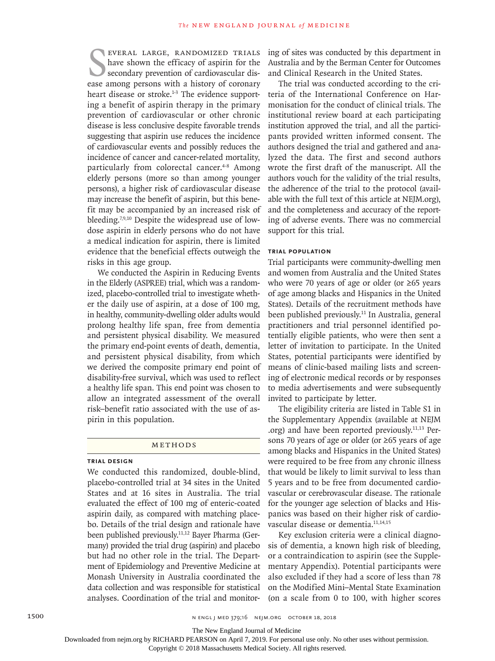EVERAL LARGE, RANDOMIZED TRIALS<br>have shown the efficacy of aspirin for the<br>secondary prevention of cardiovascular dis-<br>ease among persons with a history of coronary everal large, randomized trials have shown the efficacy of aspirin for the secondary prevention of cardiovascular disheart disease or stroke.<sup>1-3</sup> The evidence supporting a benefit of aspirin therapy in the primary prevention of cardiovascular or other chronic disease is less conclusive despite favorable trends suggesting that aspirin use reduces the incidence of cardiovascular events and possibly reduces the incidence of cancer and cancer-related mortality, particularly from colorectal cancer.<sup>4-8</sup> Among elderly persons (more so than among younger persons), a higher risk of cardiovascular disease may increase the benefit of aspirin, but this benefit may be accompanied by an increased risk of bleeding.7,9,10 Despite the widespread use of lowdose aspirin in elderly persons who do not have a medical indication for aspirin, there is limited evidence that the beneficial effects outweigh the risks in this age group.

We conducted the Aspirin in Reducing Events in the Elderly (ASPREE) trial, which was a randomized, placebo-controlled trial to investigate whether the daily use of aspirin, at a dose of 100 mg, in healthy, community-dwelling older adults would prolong healthy life span, free from dementia and persistent physical disability. We measured the primary end-point events of death, dementia, and persistent physical disability, from which we derived the composite primary end point of disability-free survival, which was used to reflect a healthy life span. This end point was chosen to allow an integrated assessment of the overall risk–benefit ratio associated with the use of aspirin in this population.

#### Methods

### **Trial Design**

We conducted this randomized, double-blind, placebo-controlled trial at 34 sites in the United States and at 16 sites in Australia. The trial evaluated the effect of 100 mg of enteric-coated aspirin daily, as compared with matching placebo. Details of the trial design and rationale have been published previously.11,12 Bayer Pharma (Germany) provided the trial drug (aspirin) and placebo but had no other role in the trial. The Department of Epidemiology and Preventive Medicine at Monash University in Australia coordinated the data collection and was responsible for statistical analyses. Coordination of the trial and monitoring of sites was conducted by this department in Australia and by the Berman Center for Outcomes and Clinical Research in the United States.

The trial was conducted according to the criteria of the International Conference on Harmonisation for the conduct of clinical trials. The institutional review board at each participating institution approved the trial, and all the participants provided written informed consent. The authors designed the trial and gathered and analyzed the data. The first and second authors wrote the first draft of the manuscript. All the authors vouch for the validity of the trial results, the adherence of the trial to the protocol (available with the full text of this article at NEJM.org), and the completeness and accuracy of the reporting of adverse events. There was no commercial support for this trial.

#### **Trial Population**

Trial participants were community-dwelling men and women from Australia and the United States who were 70 years of age or older (or ≥65 years of age among blacks and Hispanics in the United States). Details of the recruitment methods have been published previously.11 In Australia, general practitioners and trial personnel identified potentially eligible patients, who were then sent a letter of invitation to participate. In the United States, potential participants were identified by means of clinic-based mailing lists and screening of electronic medical records or by responses to media advertisements and were subsequently invited to participate by letter.

The eligibility criteria are listed in Table S1 in the Supplementary Appendix (available at NEJM .org) and have been reported previously.11,13 Persons 70 years of age or older (or ≥65 years of age among blacks and Hispanics in the United States) were required to be free from any chronic illness that would be likely to limit survival to less than 5 years and to be free from documented cardiovascular or cerebrovascular disease. The rationale for the younger age selection of blacks and Hispanics was based on their higher risk of cardiovascular disease or dementia.<sup>11,14,15</sup>

Key exclusion criteria were a clinical diagnosis of dementia, a known high risk of bleeding, or a contraindication to aspirin (see the Supplementary Appendix). Potential participants were also excluded if they had a score of less than 78 on the Modified Mini–Mental State Examination (on a scale from 0 to 100, with higher scores

The New England Journal of Medicine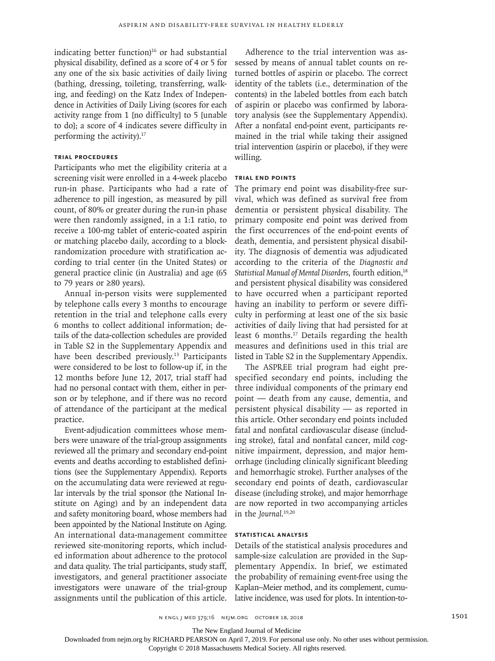indicating better function $16$  or had substantial physical disability, defined as a score of 4 or 5 for any one of the six basic activities of daily living (bathing, dressing, toileting, transferring, walking, and feeding) on the Katz Index of Independence in Activities of Daily Living (scores for each activity range from 1 [no difficulty] to 5 [unable to do]; a score of 4 indicates severe difficulty in performing the activity).17

# **Trial Procedures**

Participants who met the eligibility criteria at a screening visit were enrolled in a 4-week placebo run-in phase. Participants who had a rate of adherence to pill ingestion, as measured by pill count, of 80% or greater during the run-in phase were then randomly assigned, in a 1:1 ratio, to receive a 100-mg tablet of enteric-coated aspirin or matching placebo daily, according to a blockrandomization procedure with stratification according to trial center (in the United States) or general practice clinic (in Australia) and age (65 to 79 years or ≥80 years).

Annual in-person visits were supplemented by telephone calls every 3 months to encourage retention in the trial and telephone calls every 6 months to collect additional information; details of the data-collection schedules are provided in Table S2 in the Supplementary Appendix and have been described previously.<sup>13</sup> Participants were considered to be lost to follow-up if, in the 12 months before June 12, 2017, trial staff had had no personal contact with them, either in person or by telephone, and if there was no record of attendance of the participant at the medical practice.

Event-adjudication committees whose members were unaware of the trial-group assignments reviewed all the primary and secondary end-point events and deaths according to established definitions (see the Supplementary Appendix). Reports on the accumulating data were reviewed at regular intervals by the trial sponsor (the National Institute on Aging) and by an independent data and safety monitoring board, whose members had been appointed by the National Institute on Aging. An international data-management committee reviewed site-monitoring reports, which included information about adherence to the protocol and data quality. The trial participants, study staff, investigators, and general practitioner associate investigators were unaware of the trial-group assignments until the publication of this article.

Adherence to the trial intervention was assessed by means of annual tablet counts on returned bottles of aspirin or placebo. The correct identity of the tablets (i.e., determination of the contents) in the labeled bottles from each batch of aspirin or placebo was confirmed by laboratory analysis (see the Supplementary Appendix). After a nonfatal end-point event, participants remained in the trial while taking their assigned trial intervention (aspirin or placebo), if they were willing.

#### **Trial End Points**

The primary end point was disability-free survival, which was defined as survival free from dementia or persistent physical disability. The primary composite end point was derived from the first occurrences of the end-point events of death, dementia, and persistent physical disability. The diagnosis of dementia was adjudicated according to the criteria of the *Diagnostic and*  Statistical Manual of Mental Disorders, fourth edition,<sup>18</sup> and persistent physical disability was considered to have occurred when a participant reported having an inability to perform or severe difficulty in performing at least one of the six basic activities of daily living that had persisted for at least 6 months.<sup>17</sup> Details regarding the health measures and definitions used in this trial are listed in Table S2 in the Supplementary Appendix.

The ASPREE trial program had eight prespecified secondary end points, including the three individual components of the primary end point — death from any cause, dementia, and persistent physical disability — as reported in this article. Other secondary end points included fatal and nonfatal cardiovascular disease (including stroke), fatal and nonfatal cancer, mild cognitive impairment, depression, and major hemorrhage (including clinically significant bleeding and hemorrhagic stroke). Further analyses of the secondary end points of death, cardiovascular disease (including stroke), and major hemorrhage are now reported in two accompanying articles in the *Journal*. 19,20

# **Statistical Analysis**

Details of the statistical analysis procedures and sample-size calculation are provided in the Supplementary Appendix. In brief, we estimated the probability of remaining event-free using the Kaplan–Meier method, and its complement, cumulative incidence, was used for plots. In intention-to-

n engl j med 379;16 nejm.org October 18, 2018 1501

The New England Journal of Medicine

Downloaded from nejm.org by RICHARD PEARSON on April 7, 2019. For personal use only. No other uses without permission.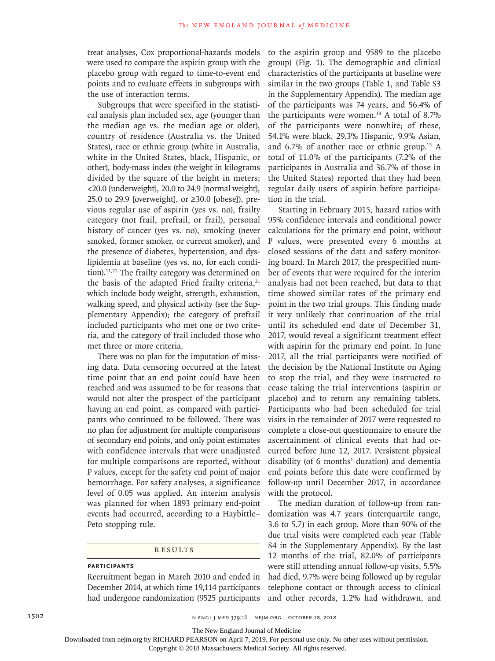treat analyses, Cox proportional-hazards models were used to compare the aspirin group with the placebo group with regard to time-to-event end points and to evaluate effects in subgroups with the use of interaction terms.

Subgroups that were specified in the statistical analysis plan included sex, age (younger than the median age vs. the median age or older), country of residence (Australia vs. the United States), race or ethnic group (white in Australia, white in the United States, black, Hispanic, or other), body-mass index (the weight in kilograms divided by the square of the height in meters; <20.0 [underweight], 20.0 to 24.9 [normal weight], 25.0 to 29.9 [overweight], or  $\geq$ 30.0 [obese]), previous regular use of aspirin (yes vs. no), frailty category (not frail, prefrail, or frail), personal history of cancer (yes vs. no), smoking (never smoked, former smoker, or current smoker), and the presence of diabetes, hypertension, and dyslipidemia at baseline (yes vs. no, for each condition).11,21 The frailty category was determined on the basis of the adapted Fried frailty criteria, $21$ which include body weight, strength, exhaustion, walking speed, and physical activity (see the Supplementary Appendix); the category of prefrail included participants who met one or two criteria, and the category of frail included those who met three or more criteria.

There was no plan for the imputation of missing data. Data censoring occurred at the latest time point that an end point could have been reached and was assumed to be for reasons that would not alter the prospect of the participant having an end point, as compared with participants who continued to be followed. There was no plan for adjustment for multiple comparisons of secondary end points, and only point estimates with confidence intervals that were unadjusted for multiple comparisons are reported, without P values, except for the safety end point of major hemorrhage. For safety analyses, a significance level of 0.05 was applied. An interim analysis was planned for when 1893 primary end-point events had occurred, according to a Haybittle– Peto stopping rule.

**RESULTS** 

#### **Participants**

Recruitment began in March 2010 and ended in December 2014, at which time 19,114 participants had undergone randomization (9525 participants to the aspirin group and 9589 to the placebo group) (Fig. 1). The demographic and clinical characteristics of the participants at baseline were similar in the two groups (Table 1, and Table S3 in the Supplementary Appendix). The median age of the participants was 74 years, and 56.4% of the participants were women.<sup>13</sup> A total of 8.7% of the participants were nonwhite; of these, 54.1% were black, 29.3% Hispanic, 9.9% Asian, and  $6.7\%$  of another race or ethnic group.<sup>13</sup> A total of 11.0% of the participants (7.2% of the participants in Australia and 36.7% of those in the United States) reported that they had been regular daily users of aspirin before participation in the trial.

Starting in February 2015, hazard ratios with 95% confidence intervals and conditional power calculations for the primary end point, without P values, were presented every 6 months at closed sessions of the data and safety monitoring board. In March 2017, the prespecified number of events that were required for the interim analysis had not been reached, but data to that time showed similar rates of the primary end point in the two trial groups. This finding made it very unlikely that continuation of the trial until its scheduled end date of December 31, 2017, would reveal a significant treatment effect with aspirin for the primary end point. In June 2017, all the trial participants were notified of the decision by the National Institute on Aging to stop the trial, and they were instructed to cease taking the trial interventions (aspirin or placebo) and to return any remaining tablets. Participants who had been scheduled for trial visits in the remainder of 2017 were requested to complete a close-out questionnaire to ensure the ascertainment of clinical events that had occurred before June 12, 2017. Persistent physical disability (of 6 months' duration) and dementia end points before this date were confirmed by follow-up until December 2017, in accordance with the protocol.

The median duration of follow-up from randomization was 4.7 years (interquartile range, 3.6 to 5.7) in each group. More than 90% of the due trial visits were completed each year (Table S4 in the Supplementary Appendix). By the last 12 months of the trial, 82.0% of participants were still attending annual follow-up visits, 5.5% had died, 9.7% were being followed up by regular telephone contact or through access to clinical and other records, 1.2% had withdrawn, and

The New England Journal of Medicine

Downloaded from nejm.org by RICHARD PEARSON on April 7, 2019. For personal use only. No other uses without permission.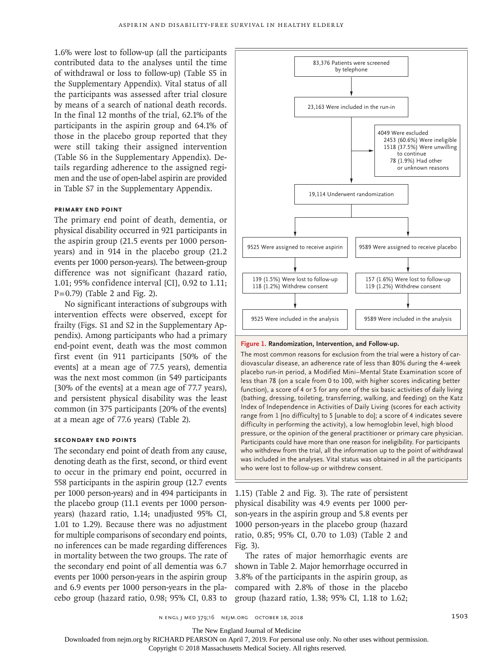1.6% were lost to follow-up (all the participants contributed data to the analyses until the time of withdrawal or loss to follow-up) (Table S5 in the Supplementary Appendix). Vital status of all the participants was assessed after trial closure by means of a search of national death records. In the final 12 months of the trial, 62.1% of the participants in the aspirin group and 64.1% of those in the placebo group reported that they were still taking their assigned intervention (Table S6 in the Supplementary Appendix). Details regarding adherence to the assigned regimen and the use of open-label aspirin are provided in Table S7 in the Supplementary Appendix.

#### **Primary End Point**

The primary end point of death, dementia, or physical disability occurred in 921 participants in the aspirin group (21.5 events per 1000 personyears) and in 914 in the placebo group (21.2 events per 1000 person-years). The between-group difference was not significant (hazard ratio, 1.01; 95% confidence interval [CI], 0.92 to 1.11;  $P=0.79$ ) (Table 2 and Fig. 2).

No significant interactions of subgroups with intervention effects were observed, except for frailty (Figs. S1 and S2 in the Supplementary Appendix). Among participants who had a primary end-point event, death was the most common first event (in 911 participants [50% of the events] at a mean age of 77.5 years), dementia was the next most common (in 549 participants [30% of the events] at a mean age of 77.7 years), and persistent physical disability was the least common (in 375 participants [20% of the events] at a mean age of 77.6 years) (Table 2).

#### **Secondary End Points**

The secondary end point of death from any cause, denoting death as the first, second, or third event to occur in the primary end point, occurred in 558 participants in the aspirin group (12.7 events per 1000 person-years) and in 494 participants in the placebo group (11.1 events per 1000 personyears) (hazard ratio, 1.14; unadjusted 95% CI, 1.01 to 1.29). Because there was no adjustment for multiple comparisons of secondary end points, no inferences can be made regarding differences in mortality between the two groups. The rate of the secondary end point of all dementia was 6.7 events per 1000 person-years in the aspirin group and 6.9 events per 1000 person-years in the placebo group (hazard ratio, 0.98; 95% CI, 0.83 to



#### **Figure 1. Randomization, Intervention, and Follow-up.**

The most common reasons for exclusion from the trial were a history of cardiovascular disease, an adherence rate of less than 80% during the 4-week placebo run-in period, a Modified Mini–Mental State Examination score of less than 78 (on a scale from 0 to 100, with higher scores indicating better function), a score of 4 or 5 for any one of the six basic activities of daily living (bathing, dressing, toileting, transferring, walking, and feeding) on the Katz Index of Independence in Activities of Daily Living (scores for each activity range from 1 [no difficulty] to 5 [unable to do]; a score of 4 indicates severe difficulty in performing the activity), a low hemoglobin level, high blood pressure, or the opinion of the general practitioner or primary care physician. Participants could have more than one reason for ineligibility. For participants who withdrew from the trial, all the information up to the point of withdrawal was included in the analyses. Vital status was obtained in all the participants who were lost to follow-up or withdrew consent.

1.15) (Table 2 and Fig. 3). The rate of persistent physical disability was 4.9 events per 1000 person-years in the aspirin group and 5.8 events per 1000 person-years in the placebo group (hazard ratio, 0.85; 95% CI, 0.70 to 1.03) (Table 2 and Fig. 3).

The rates of major hemorrhagic events are shown in Table 2. Major hemorrhage occurred in 3.8% of the participants in the aspirin group, as compared with 2.8% of those in the placebo group (hazard ratio, 1.38; 95% CI, 1.18 to 1.62;

n engl j med 379;16 nejm.org October 18, 2018 1503

The New England Journal of Medicine

Downloaded from nejm.org by RICHARD PEARSON on April 7, 2019. For personal use only. No other uses without permission.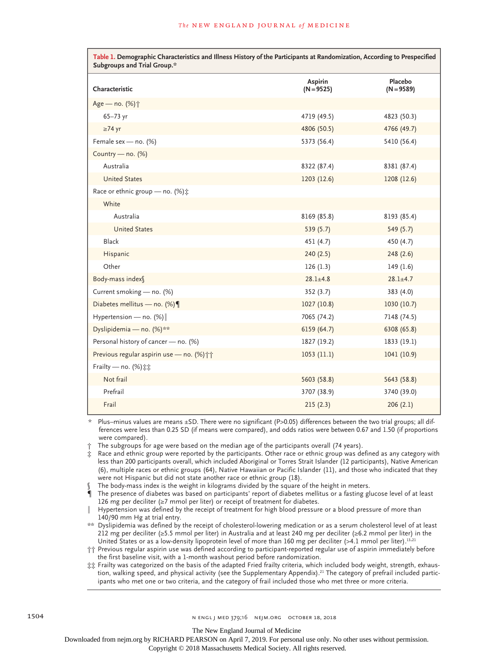| Table 1. Demographic Characteristics and Illness History of the Participants at Randomization, According to Prespecified<br>Subgroups and Trial Group.* |                         |                         |  |  |  |  |
|---------------------------------------------------------------------------------------------------------------------------------------------------------|-------------------------|-------------------------|--|--|--|--|
| Characteristic                                                                                                                                          | Aspirin<br>$(N = 9525)$ | Placebo<br>$(N = 9589)$ |  |  |  |  |
| Age - no. (%) $\dagger$                                                                                                                                 |                         |                         |  |  |  |  |
| $65 - 73$ yr                                                                                                                                            | 4719 (49.5)             | 4823 (50.3)             |  |  |  |  |
| $\geq$ 74 yr                                                                                                                                            | 4806 (50.5)             | 4766 (49.7)             |  |  |  |  |
| Female sex - no. (%)                                                                                                                                    | 5373 (56.4)             | 5410 (56.4)             |  |  |  |  |
| Country - no. (%)                                                                                                                                       |                         |                         |  |  |  |  |
| Australia                                                                                                                                               | 8322 (87.4)             | 8381 (87.4)             |  |  |  |  |
| <b>United States</b>                                                                                                                                    | 1203(12.6)              | 1208 (12.6)             |  |  |  |  |
| Race or ethnic group - no. (%) :                                                                                                                        |                         |                         |  |  |  |  |
| White                                                                                                                                                   |                         |                         |  |  |  |  |
| Australia                                                                                                                                               | 8169 (85.8)             | 8193 (85.4)             |  |  |  |  |
| <b>United States</b>                                                                                                                                    | 539 (5.7)               | 549 (5.7)               |  |  |  |  |
| <b>Black</b>                                                                                                                                            | 451 (4.7)               | 450 (4.7)               |  |  |  |  |
| Hispanic                                                                                                                                                | 240 (2.5)               | 248(2.6)                |  |  |  |  |
| Other                                                                                                                                                   | 126(1.3)                | 149 (1.6)               |  |  |  |  |
| Body-mass index                                                                                                                                         | $28.1 \pm 4.8$          | $28.1 \pm 4.7$          |  |  |  |  |
| Current smoking - no. (%)                                                                                                                               | 352 (3.7)               | 383(4.0)                |  |  |  |  |
| Diabetes mellitus — no. $(\%)$                                                                                                                          | 1027(10.8)              | 1030 (10.7)             |  |  |  |  |
| Hypertension — no. $(\%)$                                                                                                                               | 7065 (74.2)             | 7148 (74.5)             |  |  |  |  |
| Dyslipidemia - no. (%)**                                                                                                                                | 6159 (64.7)             | 6308 (65.8)             |  |  |  |  |
| Personal history of cancer - no. (%)                                                                                                                    | 1827 (19.2)             | 1833 (19.1)             |  |  |  |  |
| Previous regular aspirin use - no. (%) ++                                                                                                               | 1053(11.1)              | 1041 (10.9)             |  |  |  |  |
| Frailty - no. (%) :::                                                                                                                                   |                         |                         |  |  |  |  |
| Not frail                                                                                                                                               | 5603 (58.8)             | 5643 (58.8)             |  |  |  |  |
| Prefrail                                                                                                                                                | 3707 (38.9)             | 3740 (39.0)             |  |  |  |  |
| Frail                                                                                                                                                   | 215(2.3)                | 206(2.1)                |  |  |  |  |

\* Plus–minus values are means ±SD. There were no significant (P>0.05) differences between the two trial groups; all differences were less than 0.25 SD (if means were compared), and odds ratios were between 0.67 and 1.50 (if proportions were compared).

† The subgroups for age were based on the median age of the participants overall (74 years).

Race and ethnic group were reported by the participants. Other race or ethnic group was defined as any category with less than 200 participants overall, which included Aboriginal or Torres Strait Islander (12 participants), Native American (6), multiple races or ethnic groups (64), Native Hawaiian or Pacific Islander (11), and those who indicated that they were not Hispanic but did not state another race or ethnic group (18).

The body-mass index is the weight in kilograms divided by the square of the height in meters.

¶ The presence of diabetes was based on participants' report of diabetes mellitus or a fasting glucose level of at least 126 mg per deciliter (≥7 mmol per liter) or receipt of treatment for diabetes.

‖ Hypertension was defined by the receipt of treatment for high blood pressure or a blood pressure of more than 140/90 mm Hg at trial entry.

\*\* Dyslipidemia was defined by the receipt of cholesterol-lowering medication or as a serum cholesterol level of at least 212 mg per deciliter (≥5.5 mmol per liter) in Australia and at least 240 mg per deciliter (≥6.2 mmol per liter) in the United States or as a low-density lipoprotein level of more than 160 mg per deciliter (>4.1 mmol per liter).<sup>13,21</sup>

†† Previous regular aspirin use was defined according to participant-reported regular use of aspirin immediately before the first baseline visit, with a 1-month washout period before randomization.

‡‡ Frailty was categorized on the basis of the adapted Fried frailty criteria, which included body weight, strength, exhaustion, walking speed, and physical activity (see the Supplementary Appendix).<sup>21</sup> The category of prefrail included participants who met one or two criteria, and the category of frail included those who met three or more criteria.

The New England Journal of Medicine

Downloaded from nejm.org by RICHARD PEARSON on April 7, 2019. For personal use only. No other uses without permission.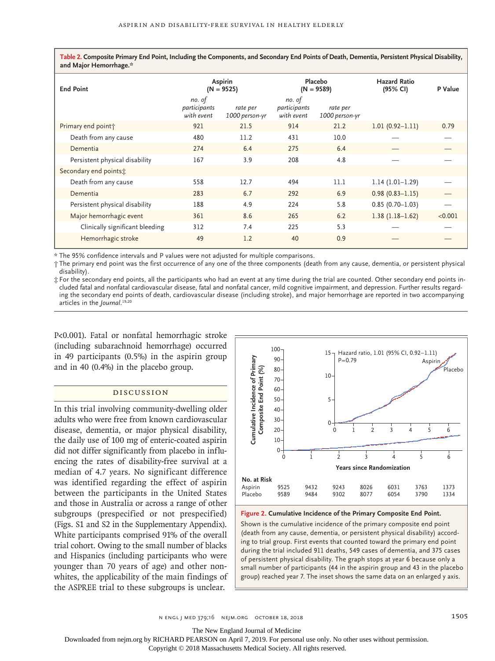**Table 2. Composite Primary End Point, Including the Components, and Secondary End Points of Death, Dementia, Persistent Physical Disability, and Major Hemorrhage.\***

| <b>End Point</b>                | Aspirin<br>$(N = 9525)$              |                            | Placebo<br>$(N = 9589)$              |                            | <b>Hazard Ratio</b><br>(95% CI) | P Value |
|---------------------------------|--------------------------------------|----------------------------|--------------------------------------|----------------------------|---------------------------------|---------|
|                                 | no. of<br>participants<br>with event | rate per<br>1000 person-yr | no. of<br>participants<br>with event | rate per<br>1000 person-yr |                                 |         |
| Primary end point;              | 921                                  | 21.5                       | 914                                  | 21.2                       | $1.01(0.92 - 1.11)$             | 0.79    |
| Death from any cause            | 480                                  | 11.2                       | 431                                  | 10.0                       |                                 |         |
| Dementia                        | 274                                  | 6.4                        | 275                                  | 6.4                        |                                 |         |
| Persistent physical disability  | 167                                  | 3.9                        | 208                                  | 4.8                        |                                 |         |
| Secondary end points:           |                                      |                            |                                      |                            |                                 |         |
| Death from any cause            | 558                                  | 12.7                       | 494                                  | 11.1                       | $1.14(1.01-1.29)$               |         |
| Dementia                        | 283                                  | 6.7                        | 292                                  | 6.9                        | $0.98(0.83 - 1.15)$             |         |
| Persistent physical disability  | 188                                  | 4.9                        | 224                                  | 5.8                        | $0.85(0.70 - 1.03)$             |         |
| Major hemorrhagic event         | 361                                  | 8.6                        | 265                                  | 6.2                        | $1.38(1.18-1.62)$               | < 0.001 |
| Clinically significant bleeding | 312                                  | 7.4                        | 225                                  | 5.3                        |                                 |         |
| Hemorrhagic stroke              | 49                                   | 1.2                        | 40                                   | 0.9                        |                                 |         |

\* The 95% confidence intervals and P values were not adjusted for multiple comparisons.

† The primary end point was the first occurrence of any one of the three components (death from any cause, dementia, or persistent physical disability).

‡ For the secondary end points, all the participants who had an event at any time during the trial are counted. Other secondary end points included fatal and nonfatal cardiovascular disease, fatal and nonfatal cancer, mild cognitive impairment, and depression. Further results regarding the secondary end points of death, cardiovascular disease (including stroke), and major hemorrhage are reported in two accompanying articles in the *Journal*. 19,20

P<0.001). Fatal or nonfatal hemorrhagic stroke (including subarachnoid hemorrhage) occurred in 49 participants (0.5%) in the aspirin group and in 40 (0.4%) in the placebo group.

# Discussion

In this trial involving community-dwelling older adults who were free from known cardiovascular disease, dementia, or major physical disability, the daily use of 100 mg of enteric-coated aspirin did not differ significantly from placebo in influencing the rates of disability-free survival at a median of 4.7 years. No significant difference was identified regarding the effect of aspirin between the participants in the United States and those in Australia or across a range of other subgroups (prespecified or not prespecified) (Figs. S1 and S2 in the Supplementary Appendix). White participants comprised 91% of the overall trial cohort. Owing to the small number of blacks and Hispanics (including participants who were younger than 70 years of age) and other nonwhites, the applicability of the main findings of the ASPREE trial to these subgroups is unclear.



**Figure 2. Cumulative Incidence of the Primary Composite End Point.**

Shown is the cumulative incidence of the primary composite end point (death from any cause, dementia, or persistent physical disability) according to trial group. First events that counted toward the primary end point during the trial included 911 deaths, 549 cases of dementia, and 375 cases of persistent physical disability. The graph stops at year 6 because only a small number of participants (44 in the aspirin group and 43 in the placebo

n engl j med 379;16 nejm.org October 18, 2018 1505 1505

The New England Journal of Medicine

Downloaded from nejm.org by RICHARD PEARSON on April 7, 2019. For personal use only. No other uses without permission.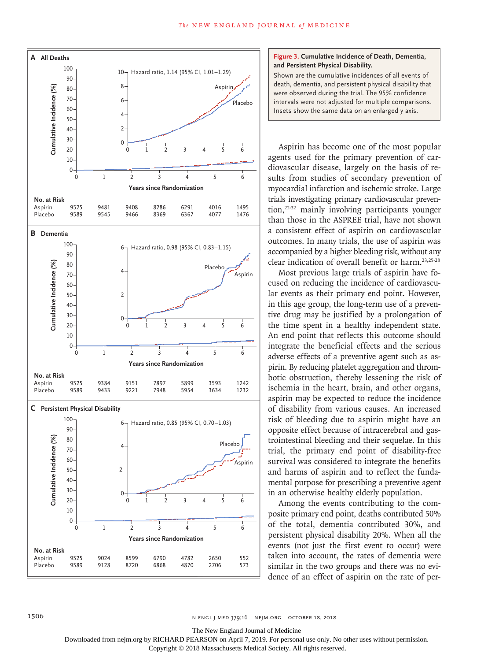

#### **Figure 3. Cumulative Incidence of Death, Dementia, and Persistent Physical Disability.**

Shown are the cumulative incidences of all events of death, dementia, and persistent physical disability that were observed during the trial. The 95% confidence intervals were not adjusted for multiple comparisons. Insets show the same data on an enlarged y axis.

Aspirin has become one of the most popular agents used for the primary prevention of cardiovascular disease, largely on the basis of results from studies of secondary prevention of myocardial infarction and ischemic stroke. Large trials investigating primary cardiovascular prevention,22-32 mainly involving participants younger than those in the ASPREE trial, have not shown a consistent effect of aspirin on cardiovascular outcomes. In many trials, the use of aspirin was accompanied by a higher bleeding risk, without any clear indication of overall benefit or harm.23,25-28

Most previous large trials of aspirin have focused on reducing the incidence of cardiovascular events as their primary end point. However, in this age group, the long-term use of a preventive drug may be justified by a prolongation of the time spent in a healthy independent state. An end point that reflects this outcome should integrate the beneficial effects and the serious adverse effects of a preventive agent such as aspirin. By reducing platelet aggregation and thrombotic obstruction, thereby lessening the risk of ischemia in the heart, brain, and other organs, aspirin may be expected to reduce the incidence of disability from various causes. An increased risk of bleeding due to aspirin might have an opposite effect because of intracerebral and gastrointestinal bleeding and their sequelae. In this trial, the primary end point of disability-free survival was considered to integrate the benefits and harms of aspirin and to reflect the fundamental purpose for prescribing a preventive agent in an otherwise healthy elderly population.

Among the events contributing to the composite primary end point, deaths contributed 50% of the total, dementia contributed 30%, and persistent physical disability 20%. When all the events (not just the first event to occur) were taken into account, the rates of dementia were similar in the two groups and there was no evidence of an effect of aspirin on the rate of per-

The New England Journal of Medicine

Downloaded from nejm.org by RICHARD PEARSON on April 7, 2019. For personal use only. No other uses without permission.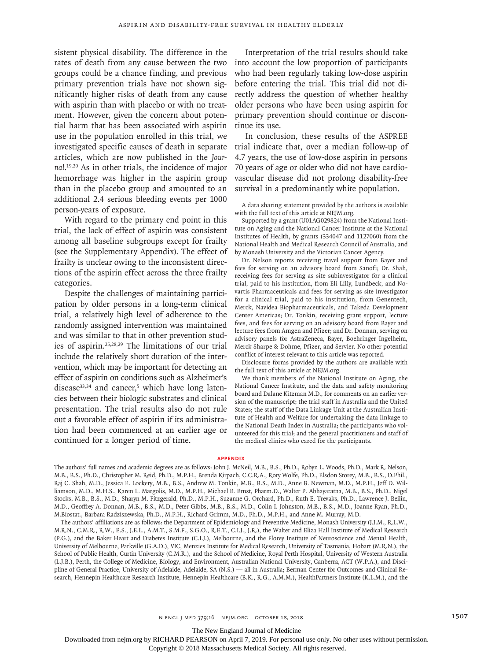sistent physical disability. The difference in the rates of death from any cause between the two groups could be a chance finding, and previous primary prevention trials have not shown significantly higher risks of death from any cause with aspirin than with placebo or with no treatment. However, given the concern about potential harm that has been associated with aspirin use in the population enrolled in this trial, we investigated specific causes of death in separate articles, which are now published in the *Journal*. 19,20 As in other trials, the incidence of major hemorrhage was higher in the aspirin group than in the placebo group and amounted to an additional 2.4 serious bleeding events per 1000 person-years of exposure.

With regard to the primary end point in this trial, the lack of effect of aspirin was consistent among all baseline subgroups except for frailty (see the Supplementary Appendix). The effect of frailty is unclear owing to the inconsistent directions of the aspirin effect across the three frailty categories.

Despite the challenges of maintaining participation by older persons in a long-term clinical trial, a relatively high level of adherence to the randomly assigned intervention was maintained and was similar to that in other prevention studies of aspirin.25,28,29 The limitations of our trial include the relatively short duration of the intervention, which may be important for detecting an effect of aspirin on conditions such as Alzheimer's disease $33,34$  and cancer,<sup>5</sup> which have long latencies between their biologic substrates and clinical presentation. The trial results also do not rule out a favorable effect of aspirin if its administration had been commenced at an earlier age or continued for a longer period of time.

Interpretation of the trial results should take into account the low proportion of participants who had been regularly taking low-dose aspirin before entering the trial. This trial did not directly address the question of whether healthy older persons who have been using aspirin for primary prevention should continue or discontinue its use.

In conclusion, these results of the ASPREE trial indicate that, over a median follow-up of 4.7 years, the use of low-dose aspirin in persons 70 years of age or older who did not have cardiovascular disease did not prolong disability-free survival in a predominantly white population.

A data sharing statement provided by the authors is available with the full text of this article at NEJM.org.

Supported by a grant (U01AG029824) from the National Institute on Aging and the National Cancer Institute at the National Institutes of Health, by grants (334047 and 1127060) from the National Health and Medical Research Council of Australia, and by Monash University and the Victorian Cancer Agency.

Dr. Nelson reports receiving travel support from Bayer and fees for serving on an advisory board from Sanofi; Dr. Shah, receiving fees for serving as site subinvestigator for a clinical trial, paid to his institution, from Eli Lilly, Lundbeck, and Novartis Pharmaceuticals and fees for serving as site investigator for a clinical trial, paid to his institution, from Genentech, Merck, Navidea Biopharmaceuticals, and Takeda Development Center Americas; Dr. Tonkin, receiving grant support, lecture fees, and fees for serving on an advisory board from Bayer and lecture fees from Amgen and Pfizer; and Dr. Donnan, serving on advisory panels for AstraZeneca, Bayer, Boehringer Ingelheim, Merck Sharpe & Dohme, Pfizer, and Servier. No other potential conflict of interest relevant to this article was reported.

Disclosure forms provided by the authors are available with the full text of this article at NEJM.org.

We thank members of the National Institute on Aging, the National Cancer Institute, and the data and safety monitoring board and Dalane Kitzman M.D., for comments on an earlier version of the manuscript; the trial staff in Australia and the United States; the staff of the Data Linkage Unit at the Australian Institute of Health and Welfare for undertaking the data linkage to the National Death Index in Australia; the participants who volunteered for this trial; and the general practitioners and staff of the medical clinics who cared for the participants.

#### **Appendix**

The authors' affiliations are as follows: the Department of Epidemiology and Preventive Medicine, Monash University (J.J.M., R.L.W., M.R.N., C.M.R., R.W., E.S., J.E.L., A.M.T., S.M.F., S.G.O., R.E.T., C.I.J., J.R.), the Walter and Eliza Hall Institute of Medical Research (P.G.), and the Baker Heart and Diabetes Institute (C.I.J.), Melbourne, and the Florey Institute of Neuroscience and Mental Health, University of Melbourne, Parkville (G.A.D.), VIC, Menzies Institute for Medical Research, University of Tasmania, Hobart (M.R.N.), the School of Public Health, Curtin University (C.M.R.), and the School of Medicine, Royal Perth Hospital, University of Western Australia (L.J.B.), Perth, the College of Medicine, Biology, and Environment, Australian National University, Canberra, ACT (W.P.A.), and Discipline of General Practice, University of Adelaide, Adelaide, SA (N.S.) — all in Australia; Berman Center for Outcomes and Clinical Research, Hennepin Healthcare Research Institute, Hennepin Healthcare (B.K., R.G., A.M.M.), HealthPartners Institute (K.L.M.), and the

The New England Journal of Medicine

Downloaded from nejm.org by RICHARD PEARSON on April 7, 2019. For personal use only. No other uses without permission.

The authors' full names and academic degrees are as follows: John J. McNeil, M.B., B.S., Ph.D., Robyn L. Woods, Ph.D., Mark R. Nelson, M.B., B.S., Ph.D., Christopher M. Reid, Ph.D., M.P.H., Brenda Kirpach, C.C.R.A., Rory Wolfe, Ph.D., Elsdon Storey, M.B., B.S., D.Phil., Raj C. Shah, M.D., Jessica E. Lockery, M.B., B.S., Andrew M. Tonkin, M.B., B.S., M.D., Anne B. Newman, M.D., M.P.H., Jeff D. Williamson, M.D., M.H.S., Karen L. Margolis, M.D., M.P.H., Michael E. Ernst, Pharm.D., Walter P. Abhayaratna, M.B., B.S., Ph.D., Nigel Stocks, M.B., B.S., M.D., Sharyn M. Fitzgerald, Ph.D., M.P.H., Suzanne G. Orchard, Ph.D., Ruth E. Trevaks, Ph.D., Lawrence J. Beilin, M.D., Geoffrey A. Donnan, M.B., B.S., M.D., Peter Gibbs, M.B., B.S., M.D., Colin I. Johnston, M.B., B.S., M.D., Joanne Ryan, Ph.D., M.Biostat., Barbara Radziszewska, Ph.D., M.P.H., Richard Grimm, M.D., Ph.D., M.P.H., and Anne M. Murray, M.D.